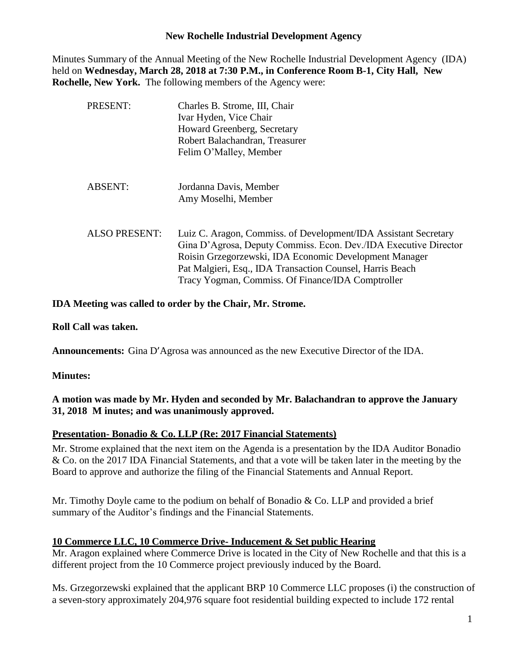Minutes Summary of the Annual Meeting of the New Rochelle Industrial Development Agency (IDA) held on **Wednesday, March 28, 2018 at 7:30 P.M., in Conference Room B-1, City Hall, New Rochelle, New York.** The following members of the Agency were:

| PRESENT:             | Charles B. Strome, III, Chair<br>Ivar Hyden, Vice Chair<br>Howard Greenberg, Secretary<br>Robert Balachandran, Treasurer<br>Felim O'Malley, Member                                                                                                                                                              |
|----------------------|-----------------------------------------------------------------------------------------------------------------------------------------------------------------------------------------------------------------------------------------------------------------------------------------------------------------|
| <b>ABSENT:</b>       | Jordanna Davis, Member<br>Amy Moselhi, Member                                                                                                                                                                                                                                                                   |
| <b>ALSO PRESENT:</b> | Luiz C. Aragon, Commiss. of Development/IDA Assistant Secretary<br>Gina D'Agrosa, Deputy Commiss. Econ. Dev./IDA Executive Director<br>Roisin Grzegorzewski, IDA Economic Development Manager<br>Pat Malgieri, Esq., IDA Transaction Counsel, Harris Beach<br>Tracy Yogman, Commiss. Of Finance/IDA Comptroller |

### **IDA Meeting was called to order by the Chair, Mr. Strome.**

**Roll Call was taken.**

**Announcements:** Gina D'Agrosa was announced as the new Executive Director of the IDA.

**Minutes:**

# **A motion was made by Mr. Hyden and seconded by Mr. Balachandran to approve the January 31, 2018 M inutes; and was unanimously approved.**

# **Presentation- Bonadio & Co. LLP (Re: 2017 Financial Statements)**

Mr. Strome explained that the next item on the Agenda is a presentation by the IDA Auditor Bonadio & Co. on the 2017 IDA Financial Statements, and that a vote will be taken later in the meeting by the Board to approve and authorize the filing of the Financial Statements and Annual Report.

Mr. Timothy Doyle came to the podium on behalf of Bonadio & Co. LLP and provided a brief summary of the Auditor's findings and the Financial Statements.

# **10 Commerce LLC, 10 Commerce Drive- Inducement & Set public Hearing**

Mr. Aragon explained where Commerce Drive is located in the City of New Rochelle and that this is a different project from the 10 Commerce project previously induced by the Board.

Ms. Grzegorzewski explained that the applicant BRP 10 Commerce LLC proposes (i) the construction of a seven-story approximately 204,976 square foot residential building expected to include 172 rental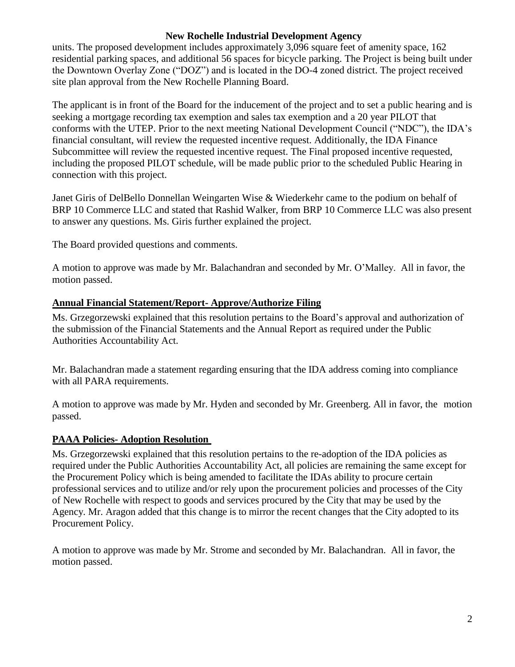units. The proposed development includes approximately 3,096 square feet of amenity space, 162 residential parking spaces, and additional 56 spaces for bicycle parking. The Project is being built under the Downtown Overlay Zone ("DOZ") and is located in the DO-4 zoned district. The project received site plan approval from the New Rochelle Planning Board.

The applicant is in front of the Board for the inducement of the project and to set a public hearing and is seeking a mortgage recording tax exemption and sales tax exemption and a 20 year PILOT that conforms with the UTEP. Prior to the next meeting National Development Council ("NDC"), the IDA's financial consultant, will review the requested incentive request. Additionally, the IDA Finance Subcommittee will review the requested incentive request. The Final proposed incentive requested, including the proposed PILOT schedule, will be made public prior to the scheduled Public Hearing in connection with this project.

Janet Giris of DelBello Donnellan Weingarten Wise & Wiederkehr came to the podium on behalf of BRP 10 Commerce LLC and stated that Rashid Walker, from BRP 10 Commerce LLC was also present to answer any questions. Ms. Giris further explained the project.

The Board provided questions and comments.

A motion to approve was made by Mr. Balachandran and seconded by Mr. O'Malley. All in favor, the motion passed.

# **Annual Financial Statement/Report- Approve/Authorize Filing**

Ms. Grzegorzewski explained that this resolution pertains to the Board's approval and authorization of the submission of the Financial Statements and the Annual Report as required under the Public Authorities Accountability Act.

Mr. Balachandran made a statement regarding ensuring that the IDA address coming into compliance with all PARA requirements.

A motion to approve was made by Mr. Hyden and seconded by Mr. Greenberg. All in favor, the motion passed.

# **PAAA Policies- Adoption Resolution**

Ms. Grzegorzewski explained that this resolution pertains to the re-adoption of the IDA policies as required under the Public Authorities Accountability Act, all policies are remaining the same except for the Procurement Policy which is being amended to facilitate the IDAs ability to procure certain professional services and to utilize and/or rely upon the procurement policies and processes of the City of New Rochelle with respect to goods and services procured by the City that may be used by the Agency. Mr. Aragon added that this change is to mirror the recent changes that the City adopted to its Procurement Policy.

A motion to approve was made by Mr. Strome and seconded by Mr. Balachandran. All in favor, the motion passed.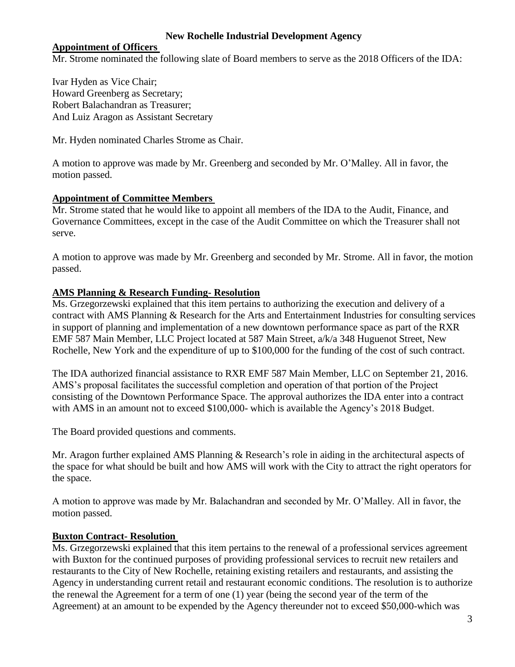#### **Appointment of Officers**

Mr. Strome nominated the following slate of Board members to serve as the 2018 Officers of the IDA:

Ivar Hyden as Vice Chair; Howard Greenberg as Secretary; Robert Balachandran as Treasurer; And Luiz Aragon as Assistant Secretary

Mr. Hyden nominated Charles Strome as Chair.

A motion to approve was made by Mr. Greenberg and seconded by Mr. O'Malley. All in favor, the motion passed.

### **Appointment of Committee Members**

Mr. Strome stated that he would like to appoint all members of the IDA to the Audit, Finance, and Governance Committees, except in the case of the Audit Committee on which the Treasurer shall not serve.

A motion to approve was made by Mr. Greenberg and seconded by Mr. Strome. All in favor, the motion passed.

# **AMS Planning & Research Funding- Resolution**

Ms. Grzegorzewski explained that this item pertains to authorizing the execution and delivery of a contract with AMS Planning & Research for the Arts and Entertainment Industries for consulting services in support of planning and implementation of a new downtown performance space as part of the RXR EMF 587 Main Member, LLC Project located at 587 Main Street, a/k/a 348 Huguenot Street, New Rochelle, New York and the expenditure of up to \$100,000 for the funding of the cost of such contract.

The IDA authorized financial assistance to RXR EMF 587 Main Member, LLC on September 21, 2016. AMS's proposal facilitates the successful completion and operation of that portion of the Project consisting of the Downtown Performance Space. The approval authorizes the IDA enter into a contract with AMS in an amount not to exceed \$100,000- which is available the Agency's 2018 Budget.

The Board provided questions and comments.

Mr. Aragon further explained AMS Planning & Research's role in aiding in the architectural aspects of the space for what should be built and how AMS will work with the City to attract the right operators for the space.

A motion to approve was made by Mr. Balachandran and seconded by Mr. O'Malley. All in favor, the motion passed.

# **Buxton Contract- Resolution**

Ms. Grzegorzewski explained that this item pertains to the renewal of a professional services agreement with Buxton for the continued purposes of providing professional services to recruit new retailers and restaurants to the City of New Rochelle, retaining existing retailers and restaurants, and assisting the Agency in understanding current retail and restaurant economic conditions. The resolution is to authorize the renewal the Agreement for a term of one (1) year (being the second year of the term of the Agreement) at an amount to be expended by the Agency thereunder not to exceed \$50,000-which was